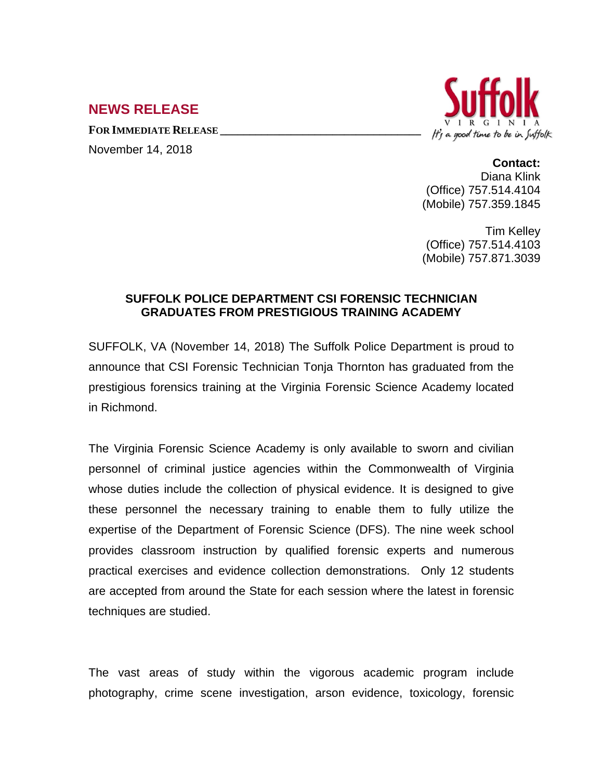## **NEWS RELEASE**

**FOR IMMEDIATE RELEASE \_\_\_\_\_\_\_\_\_\_\_\_\_\_\_\_\_\_\_\_\_\_\_\_\_\_\_\_\_\_\_\_\_\_**





## **Contact:**

Diana Klink (Office) 757.514.4104 (Mobile) 757.359.1845

Tim Kelley (Office) 757.514.4103 (Mobile) 757.871.3039

## **SUFFOLK POLICE DEPARTMENT CSI FORENSIC TECHNICIAN GRADUATES FROM PRESTIGIOUS TRAINING ACADEMY**

SUFFOLK, VA (November 14, 2018) The Suffolk Police Department is proud to announce that CSI Forensic Technician Tonja Thornton has graduated from the prestigious forensics training at the Virginia Forensic Science Academy located in Richmond.

The Virginia Forensic Science Academy is only available to sworn and civilian personnel of criminal justice agencies within the Commonwealth of Virginia whose duties include the collection of physical evidence. It is designed to give these personnel the necessary training to enable them to fully utilize the expertise of the Department of Forensic Science (DFS). The nine week school provides classroom instruction by qualified forensic experts and numerous practical exercises and evidence collection demonstrations. Only 12 students are accepted from around the State for each session where the latest in forensic techniques are studied.

The vast areas of study within the vigorous academic program include photography, crime scene investigation, arson evidence, toxicology, forensic